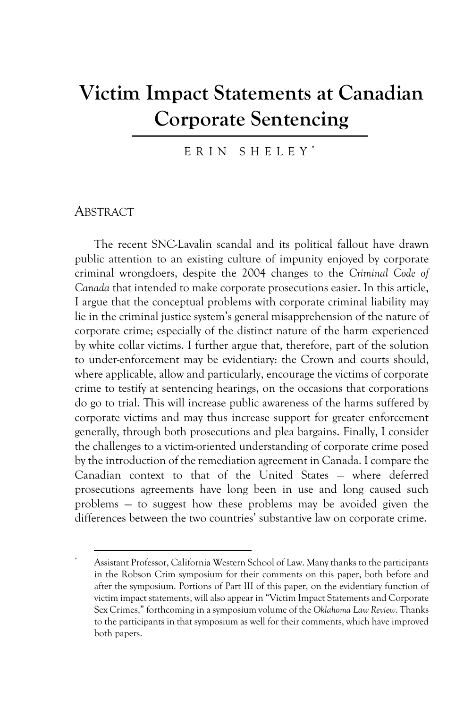# **Victim Impact Statements at Canadian Corporate Sentencing**

ERIN SHELEY \*

#### **ABSTRACT**

The recent SNC-Lavalin scandal and its political fallout have drawn public attention to an existing culture of impunity enjoyed by corporate criminal wrongdoers, despite the 2004 changes to the *Criminal Code of Canada* that intended to make corporate prosecutions easier. In this article, I argue that the conceptual problems with corporate criminal liability may lie in the criminal justice system's general misapprehension of the nature of corporate crime; especially of the distinct nature of the harm experienced by white collar victims. I further argue that, therefore, part of the solution to under-enforcement may be evidentiary: the Crown and courts should, where applicable, allow and particularly, encourage the victims of corporate crime to testify at sentencing hearings, on the occasions that corporations do go to trial. This will increase public awareness of the harms suffered by corporate victims and may thus increase support for greater enforcement generally, through both prosecutions and plea bargains. Finally, I consider the challenges to a victim-oriented understanding of corporate crime posed by the introduction of the remediation agreement in Canada. I compare the Canadian context to that of the United States — where deferred prosecutions agreements have long been in use and long caused such problems — to suggest how these problems may be avoided given the differences between the two countries' substantive law on corporate crime.

Assistant Professor, California Western School of Law. Many thanks to the participants in the Robson Crim symposium for their comments on this paper, both before and after the symposium. Portions of Part III of this paper, on the evidentiary function of victim impact statements, will also appear in "Victim Impact Statements and Corporate Sex Crimes," forthcoming in a symposium volume of the *Oklahoma Law Review*. Thanks to the participants in that symposium as well for their comments, which have improved both papers.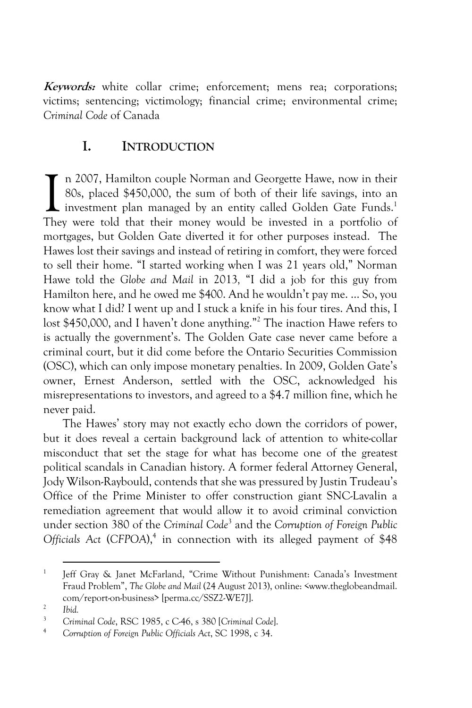**Keywords:** white collar crime; enforcement; mens rea; corporations; victims; sentencing; victimology; financial crime; environmental crime; *Criminal Code* of Canada

#### **I. INTRODUCTION**

n 2007, Hamilton couple Norman and Georgette Hawe, now in their 80s, placed \$450,000, the sum of both of their life savings, into an I investment plan managed by an entity called Golden Gate Funds.<sup>1</sup> In 2007, Hamilton couple Norman and Georgette Hawe, now in their 80s, placed \$450,000, the sum of both of their life savings, into an investment plan managed by an entity called Golden Gate Funds.<sup>1</sup> They were told that th mortgages, but Golden Gate diverted it for other purposes instead. The Hawes lost their savings and instead of retiring in comfort, they were forced to sell their home. "I started working when I was 21 years old," Norman Hawe told the *Globe and Mail* in 2013*,* "I did a job for this guy from Hamilton here, and he owed me \$400. And he wouldn't pay me. ... So, you know what I did? I went up and I stuck a knife in his four tires. And this, I lost \$450,000, and I haven't done anything."2 The inaction Hawe refers to is actually the government's. The Golden Gate case never came before a criminal court, but it did come before the Ontario Securities Commission (OSC), which can only impose monetary penalties. In 2009, Golden Gate's owner, Ernest Anderson, settled with the OSC, acknowledged his misrepresentations to investors, and agreed to a \$4.7 million fine, which he never paid.

The Hawes' story may not exactly echo down the corridors of power, but it does reveal a certain background lack of attention to white-collar misconduct that set the stage for what has become one of the greatest political scandals in Canadian history. A former federal Attorney General, Jody Wilson-Raybould, contends that she was pressured by Justin Trudeau's Office of the Prime Minister to offer construction giant SNC-Lavalin a remediation agreement that would allow it to avoid criminal conviction under section 380 of the *Criminal Code*<sup>3</sup> and the *Corruption of Foreign Public Officials Act* (*CFPOA*),<sup>4</sup> in connection with its alleged payment of \$48

<sup>&</sup>lt;sup>1</sup> Jeff Gray & Janet McFarland, "Crime Without Punishment: Canada's Investment Fraud Problem", *The Globe and Mail* (24 August 2013), online: <www.theglobeandmail. com/report-on-business> [perma.cc/SSZ2-WE7J].

<sup>2</sup> *Ibid.*

<sup>3</sup> *Criminal Code*, RSC 1985, c C-46, s 380 [*Criminal Code*].

<sup>4</sup> *Corruption of Foreign Public Officials Act*, SC 1998, c 34.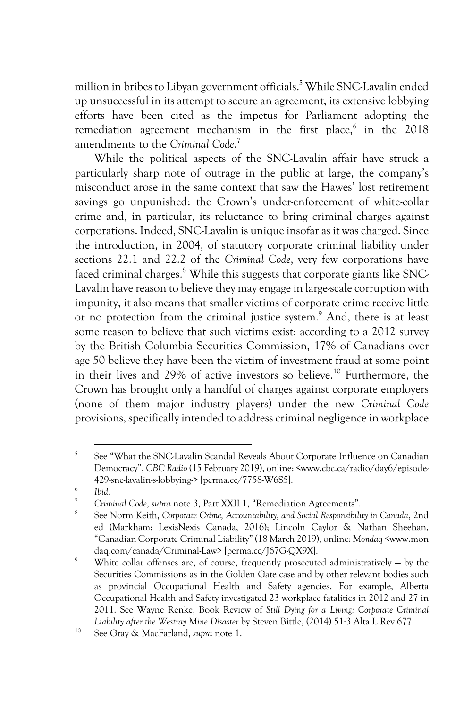million in bribes to Libyan government officials.<sup>5</sup> While SNC-Lavalin ended up unsuccessful in its attempt to secure an agreement, its extensive lobbying efforts have been cited as the impetus for Parliament adopting the remediation agreement mechanism in the first place, $6$  in the 2018 amendments to the *Criminal Code*. 7

While the political aspects of the SNC-Lavalin affair have struck a particularly sharp note of outrage in the public at large, the company's misconduct arose in the same context that saw the Hawes' lost retirement savings go unpunished: the Crown's under-enforcement of white-collar crime and, in particular, its reluctance to bring criminal charges against corporations. Indeed, SNC-Lavalin is unique insofar as it wascharged. Since the introduction, in 2004, of statutory corporate criminal liability under sections 22.1 and 22.2 of the *Criminal Code*, very few corporations have faced criminal charges.<sup>8</sup> While this suggests that corporate giants like SNC-Lavalin have reason to believe they may engage in large-scale corruption with impunity, it also means that smaller victims of corporate crime receive little or no protection from the criminal justice system.9 And, there is at least some reason to believe that such victims exist: according to a 2012 survey by the British Columbia Securities Commission, 17% of Canadians over age 50 believe they have been the victim of investment fraud at some point in their lives and 29% of active investors so believe.<sup>10</sup> Furthermore, the Crown has brought only a handful of charges against corporate employers (none of them major industry players) under the new *Criminal Code* provisions, specifically intended to address criminal negligence in workplace

<sup>&</sup>lt;sup>5</sup> See "What the SNC-Lavalin Scandal Reveals About Corporate Influence on Canadian Democracy", *CBC Radio*(15 February 2019), online: <www.cbc.ca/radio/day6/episode-429-snc-lavalin-s-lobbying-> [perma.cc/7758-W6S5]. 6 *Ibid.*

<sup>7</sup> *Criminal Code*, *supra* note 3, Part XXII.1, "Remediation Agreements".

<sup>8</sup> See Norm Keith, *Corporate Crime, Accountability, and Social Responsibility in Canada*, 2nd ed (Markham: LexisNexis Canada, 2016); Lincoln Caylor & Nathan Sheehan, "Canadian Corporate Criminal Liability" (18 March 2019), online: *Mondaq* <www.mon daq.com/canada/Criminal-Law> [perma.cc/J67G-QX9X].

<sup>9</sup> White collar offenses are, of course, frequently prosecuted administratively — by the Securities Commissions as in the Golden Gate case and by other relevant bodies such as provincial Occupational Health and Safety agencies. For example, Alberta Occupational Health and Safety investigated 23 workplace fatalities in 2012 and 27 in 2011. See Wayne Renke, Book Review of *Still Dying for a Living: Corporate Criminal Liability after the Westray Mine Disaster* by Steven Bittle, (2014) 51:3 Alta L Rev 677.<br><sup>10</sup> See Gray & MacFarland, *supra* note 1.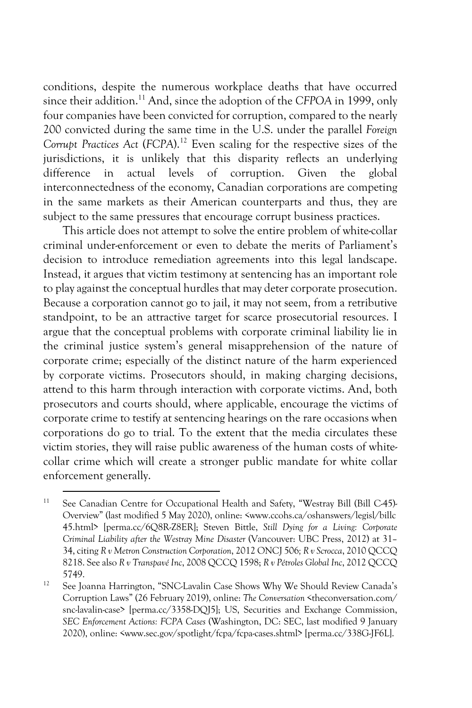conditions, despite the numerous workplace deaths that have occurred since their addition.<sup>11</sup> And, since the adoption of the *CFPOA* in 1999, only four companies have been convicted for corruption, compared to the nearly 200 convicted during the same time in the U.S. under the parallel *Foreign Corrupt Practices Act* (*FCPA*).12 Even scaling for the respective sizes of the jurisdictions, it is unlikely that this disparity reflects an underlying difference in actual levels of corruption. Given the global interconnectedness of the economy, Canadian corporations are competing in the same markets as their American counterparts and thus, they are subject to the same pressures that encourage corrupt business practices.

This article does not attempt to solve the entire problem of white-collar criminal under-enforcement or even to debate the merits of Parliament's decision to introduce remediation agreements into this legal landscape. Instead, it argues that victim testimony at sentencing has an important role to play against the conceptual hurdles that may deter corporate prosecution. Because a corporation cannot go to jail, it may not seem, from a retributive standpoint, to be an attractive target for scarce prosecutorial resources. I argue that the conceptual problems with corporate criminal liability lie in the criminal justice system's general misapprehension of the nature of corporate crime; especially of the distinct nature of the harm experienced by corporate victims. Prosecutors should, in making charging decisions, attend to this harm through interaction with corporate victims. And, both prosecutors and courts should, where applicable, encourage the victims of corporate crime to testify at sentencing hearings on the rare occasions when corporations do go to trial. To the extent that the media circulates these victim stories, they will raise public awareness of the human costs of whitecollar crime which will create a stronger public mandate for white collar enforcement generally.

<sup>&</sup>lt;sup>11</sup> See Canadian Centre for Occupational Health and Safety, "Westray Bill (Bill C-45)-Overview" (last modified 5 May 2020), online: <www.ccohs.ca/oshanswers/legisl/billc 45.html> [perma.cc/6Q8R-Z8ER]; Steven Bittle, *Still Dying for a Living: Corporate Criminal Liability after the Westray Mine Disaster* (Vancouver: UBC Press, 2012) at 31– 34, citing *R v Metron Construction Corporation*, 2012 ONCJ 506*; R v Scrocca*, 2010 QCCQ 8218. See also *R v Transpavé Inc*, 2008 QCCQ 1598; *R v Pétroles Global Inc*, 2012 QCCQ 5749. 12 See Joanna Harrington, "SNC-Lavalin Case Shows Why We Should Review Canada's

Corruption Laws" (26 February 2019), online: *The Conversation* <theconversation.com/ snc-lavalin-case> [perma.cc/3358-DQJ5]; US, Securities and Exchange Commission, *SEC Enforcement Actions: FCPA Cases* (Washington, DC: SEC, last modified 9 January 2020), online: <www.sec.gov/spotlight/fcpa/fcpa-cases.shtml> [perma.cc/338G-JF6L].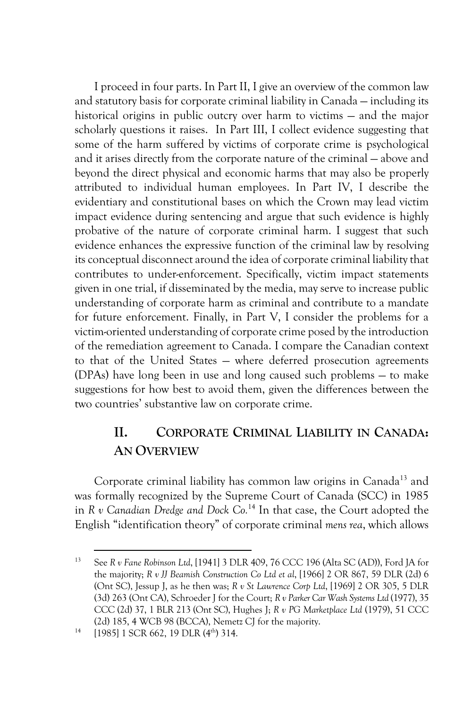I proceed in four parts. In Part II, I give an overview of the common law and statutory basis for corporate criminal liability in Canada — including its historical origins in public outcry over harm to victims — and the major scholarly questions it raises. In Part III, I collect evidence suggesting that some of the harm suffered by victims of corporate crime is psychological and it arises directly from the corporate nature of the criminal — above and beyond the direct physical and economic harms that may also be properly attributed to individual human employees. In Part IV, I describe the evidentiary and constitutional bases on which the Crown may lead victim impact evidence during sentencing and argue that such evidence is highly probative of the nature of corporate criminal harm. I suggest that such evidence enhances the expressive function of the criminal law by resolving its conceptual disconnect around the idea of corporate criminal liability that contributes to under-enforcement. Specifically, victim impact statements given in one trial, if disseminated by the media, may serve to increase public understanding of corporate harm as criminal and contribute to a mandate for future enforcement. Finally, in Part V, I consider the problems for a victim-oriented understanding of corporate crime posed by the introduction of the remediation agreement to Canada. I compare the Canadian context to that of the United States — where deferred prosecution agreements (DPAs) have long been in use and long caused such problems — to make suggestions for how best to avoid them, given the differences between the two countries' substantive law on corporate crime.

#### **II. CORPORATE CRIMINAL LIABILITY IN CANADA: AN OVERVIEW**

Corporate criminal liability has common law origins in Canada<sup>13</sup> and was formally recognized by the Supreme Court of Canada (SCC) in 1985 in *R v Canadian Dredge and Dock Co.*<sup>14</sup> In that case, the Court adopted the English "identification theory" of corporate criminal *mens rea*, which allows

<sup>13</sup> See *R v Fane Robinson Ltd*, [1941] 3 DLR 409, 76 CCC 196 (Alta SC (AD)), Ford JA for the majority; *R v JJ Beamish Construction Co Ltd et al*, [1966] 2 OR 867, 59 DLR (2d) 6 (Ont SC), Jessup J, as he then was; *R v St Lawrence Corp Ltd*, [1969] 2 OR 305, 5 DLR (3d) 263 (Ont CA), Schroeder J for the Court; *R v Parker Car Wash Systems Ltd* (1977), 35 CCC (2d) 37, 1 BLR 213 (Ont SC), Hughes J; *R v PG Marketplace Ltd* (1979), 51 CCC (2d) 185, 4 WCB 98 (BCCA), Nemetz CJ for the majority.

 $14$  [1985] 1 SCR 662, 19 DLR (4<sup>th</sup>) 314.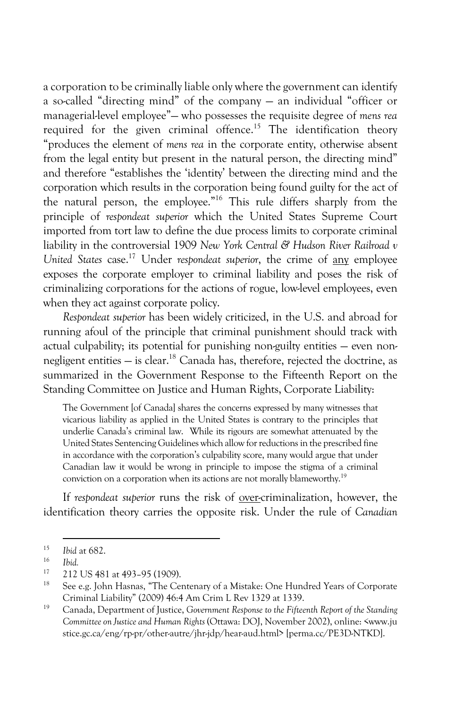a corporation to be criminally liable only where the government can identify a so-called "directing mind" of the company — an individual "officer or managerial-level employee"— who possesses the requisite degree of *mens rea* required for the given criminal offence.<sup>15</sup> The identification theory "produces the element of *mens rea* in the corporate entity, otherwise absent from the legal entity but present in the natural person, the directing mind" and therefore "establishes the 'identity' between the directing mind and the corporation which results in the corporation being found guilty for the act of the natural person, the employee."16 This rule differs sharply from the principle of *respondeat superior* which the United States Supreme Court imported from tort law to define the due process limits to corporate criminal liability in the controversial 1909 *New York Central & Hudson River Railroad v United States* case.17 Under *respondeat superior*, the crime of any employee exposes the corporate employer to criminal liability and poses the risk of criminalizing corporations for the actions of rogue, low-level employees, even when they act against corporate policy.

*Respondeat superior* has been widely criticized, in the U.S. and abroad for running afoul of the principle that criminal punishment should track with actual culpability; its potential for punishing non-guilty entities — even nonnegligent entities — is clear.<sup>18</sup> Canada has, therefore, rejected the doctrine, as summarized in the Government Response to the Fifteenth Report on the Standing Committee on Justice and Human Rights, Corporate Liability:

The Government [of Canada] shares the concerns expressed by many witnesses that vicarious liability as applied in the United States is contrary to the principles that underlie Canada's criminal law. While its rigours are somewhat attenuated by the United States Sentencing Guidelines which allow for reductions in the prescribed fine in accordance with the corporation's culpability score, many would argue that under Canadian law it would be wrong in principle to impose the stigma of a criminal conviction on a corporation when its actions are not morally blameworthy.19

If *respondeat superior* runs the risk of over-criminalization, however, the identification theory carries the opposite risk. Under the rule of *Canadian* 

 $\frac{15}{16}$  *Ibid* at 682.

<sup>16</sup> *Ibid.*

 $^{17}$  212 US 481 at 493-95 (1909).

See e.g. John Hasnas, "The Centenary of a Mistake: One Hundred Years of Corporate Criminal Liability" (2009) 46:4 Am Crim L Rev 1329 at 1339.

<sup>19</sup> Canada, Department of Justice, *Government Response to the Fifteenth Report of the Standing Committee on Justice and Human Rights* (Ottawa: DOJ, November 2002), online: <www.ju stice.gc.ca/eng/rp-pr/other-autre/jhr-jdp/hear-aud.html> [perma.cc/PE3D-NTKD].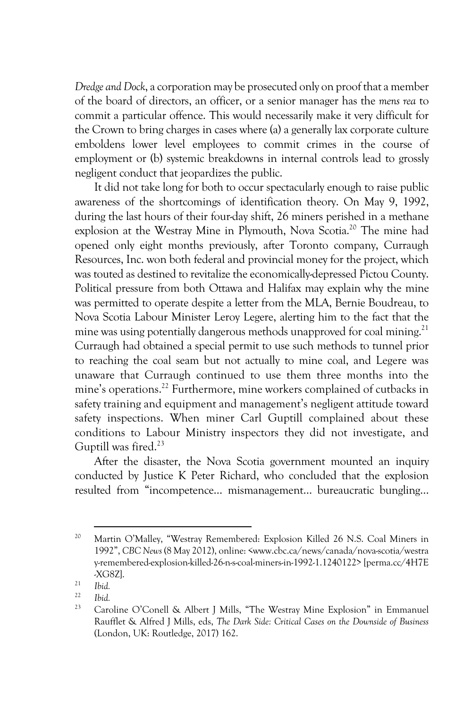*Dredge and Dock*, a corporation may be prosecuted only on proof that a member of the board of directors, an officer, or a senior manager has the *mens rea* to commit a particular offence. This would necessarily make it very difficult for the Crown to bring charges in cases where (a) a generally lax corporate culture emboldens lower level employees to commit crimes in the course of employment or (b) systemic breakdowns in internal controls lead to grossly negligent conduct that jeopardizes the public.

It did not take long for both to occur spectacularly enough to raise public awareness of the shortcomings of identification theory. On May 9, 1992, during the last hours of their four-day shift, 26 miners perished in a methane explosion at the Westray Mine in Plymouth, Nova Scotia.<sup>20</sup> The mine had opened only eight months previously, after Toronto company, Curraugh Resources, Inc. won both federal and provincial money for the project, which was touted as destined to revitalize the economically-depressed Pictou County. Political pressure from both Ottawa and Halifax may explain why the mine was permitted to operate despite a letter from the MLA, Bernie Boudreau, to Nova Scotia Labour Minister Leroy Legere, alerting him to the fact that the mine was using potentially dangerous methods unapproved for coal mining.<sup>21</sup> Curraugh had obtained a special permit to use such methods to tunnel prior to reaching the coal seam but not actually to mine coal, and Legere was unaware that Curraugh continued to use them three months into the mine's operations.22 Furthermore, mine workers complained of cutbacks in safety training and equipment and management's negligent attitude toward safety inspections. When miner Carl Guptill complained about these conditions to Labour Ministry inspectors they did not investigate, and Guptill was fired.<sup>23</sup>

After the disaster, the Nova Scotia government mounted an inquiry conducted by Justice K Peter Richard, who concluded that the explosion resulted from "incompetence… mismanagement… bureaucratic bungling…

<sup>&</sup>lt;sup>20</sup> Martin O'Malley, "Westray Remembered: Explosion Killed 26 N.S. Coal Miners in 1992", *CBC News* (8 May 2012), online: <www.cbc.ca/news/canada/nova-scotia/westra y-remembered-explosion-killed-26-n-s-coal-miners-in-1992-1.1240122> [perma.cc/4H7E -XG8Z].

 $\frac{21}{22}$  *Ibid.* 

 $\frac{22}{23}$  *Ibid.* 

Caroline O'Conell & Albert J Mills, "The Westray Mine Explosion" in Emmanuel Raufflet & Alfred J Mills, eds, *The Dark Side: Critical Cases on the Downside of Business* (London, UK: Routledge, 2017) 162.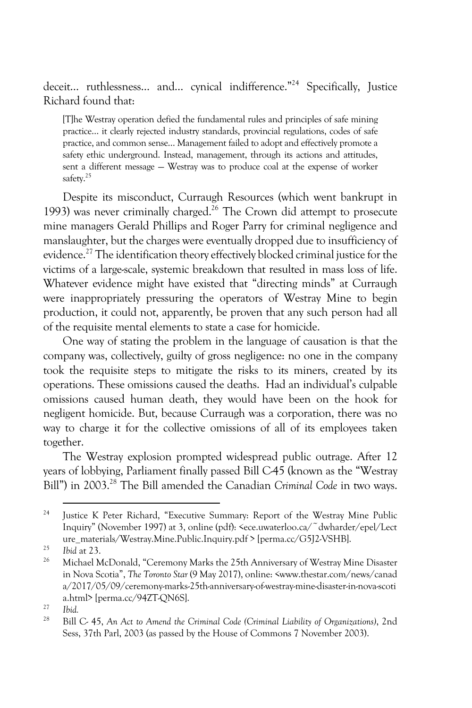deceit… ruthlessness… and… cynical indifference."24 Specifically, Justice Richard found that:

[T]he Westray operation defied the fundamental rules and principles of safe mining practice… it clearly rejected industry standards, provincial regulations, codes of safe practice, and common sense… Management failed to adopt and effectively promote a safety ethic underground. Instead, management, through its actions and attitudes, sent a different message — Westray was to produce coal at the expense of worker safety.<sup>25</sup>

Despite its misconduct, Curraugh Resources (which went bankrupt in 1993) was never criminally charged.<sup>26</sup> The Crown did attempt to prosecute mine managers Gerald Phillips and Roger Parry for criminal negligence and manslaughter, but the charges were eventually dropped due to insufficiency of evidence.<sup>27</sup> The identification theory effectively blocked criminal justice for the victims of a large-scale, systemic breakdown that resulted in mass loss of life. Whatever evidence might have existed that "directing minds" at Curraugh were inappropriately pressuring the operators of Westray Mine to begin production, it could not, apparently, be proven that any such person had all of the requisite mental elements to state a case for homicide.

One way of stating the problem in the language of causation is that the company was, collectively, guilty of gross negligence: no one in the company took the requisite steps to mitigate the risks to its miners, created by its operations. These omissions caused the deaths. Had an individual's culpable omissions caused human death, they would have been on the hook for negligent homicide. But, because Curraugh was a corporation, there was no way to charge it for the collective omissions of all of its employees taken together.

The Westray explosion prompted widespread public outrage. After 12 years of lobbying, Parliament finally passed Bill C-45 (known as the "Westray Bill") in 2003.<sup>28</sup> The Bill amended the Canadian *Criminal Code* in two ways.

<sup>&</sup>lt;sup>24</sup> Justice K Peter Richard, "Executive Summary: Report of the Westray Mine Public Inquiry" (November 1997) at 3, online (pdf): <ece.uwaterloo.ca/~dwharder/epel/Lect ure\_materials/Westray.Mine.Public.Inquiry.pdf > [perma.cc/G5]2-VSHB].

<sup>25</sup> *Ibid* at 23.

<sup>26</sup> Michael McDonald, "Ceremony Marks the 25th Anniversary of Westray Mine Disaster in Nova Scotia", *The Toronto Star* (9 May 2017), online: <www.thestar.com/news/canad a/2017/05/09/ceremony-marks-25th-anniversary-of-westray-mine-disaster-in-nova-scoti a.html> [perma.cc/94ZT-QN6S].

 $\frac{27}{28}$  *Ibid.* 

<sup>28</sup> Bill C- 45, *An Act to Amend the Criminal Code (Criminal Liability of Organizations)*, 2nd Sess, 37th Parl, 2003 (as passed by the House of Commons 7 November 2003).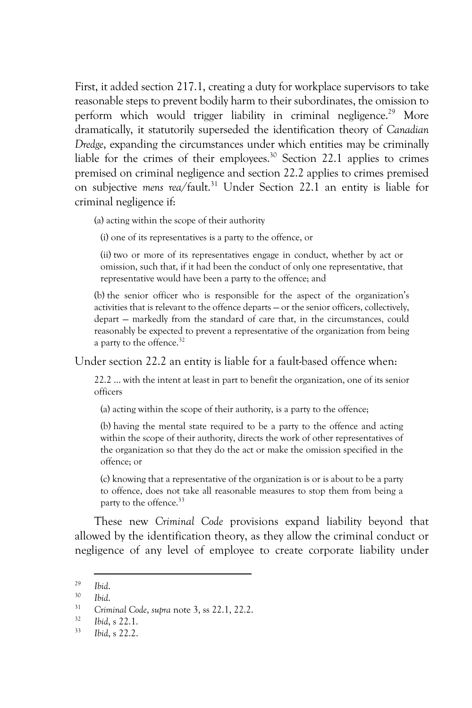First, it added section 217.1, creating a duty for workplace supervisors to take reasonable steps to prevent bodily harm to their subordinates, the omission to perform which would trigger liability in criminal negligence.<sup>29</sup> More dramatically, it statutorily superseded the identification theory of *Canadian Dredge*, expanding the circumstances under which entities may be criminally liable for the crimes of their employees.<sup>30</sup> Section 22.1 applies to crimes premised on criminal negligence and section 22.2 applies to crimes premised on subjective *mens rea*/fault.31 Under Section 22.1 an entity is liable for criminal negligence if:

(a) acting within the scope of their authority

(i) one of its representatives is a party to the offence, or

(ii) two or more of its representatives engage in conduct, whether by act or omission, such that, if it had been the conduct of only one representative, that representative would have been a party to the offence; and

(b) the senior officer who is responsible for the aspect of the organization's activities that is relevant to the offence departs — or the senior officers, collectively, depart — markedly from the standard of care that, in the circumstances, could reasonably be expected to prevent a representative of the organization from being a party to the offence.<sup>32</sup>

Under section 22.2 an entity is liable for a fault-based offence when:

22.2 … with the intent at least in part to benefit the organization, one of its senior officers

(a) acting within the scope of their authority, is a party to the offence;

(b) having the mental state required to be a party to the offence and acting within the scope of their authority, directs the work of other representatives of the organization so that they do the act or make the omission specified in the offence; or

(c) knowing that a representative of the organization is or is about to be a party to offence, does not take all reasonable measures to stop them from being a party to the offence.<sup>33</sup>

These new *Criminal Code* provisions expand liability beyond that allowed by the identification theory, as they allow the criminal conduct or negligence of any level of employee to create corporate liability under

<sup>29</sup> *Ibid*. 30 *Ibid*. 31 *Criminal Code*, *supra* note 3, ss 22.1, 22.2. 32 *Ibid*, s 22.1.

<sup>33</sup> *Ibid*, s 22.2.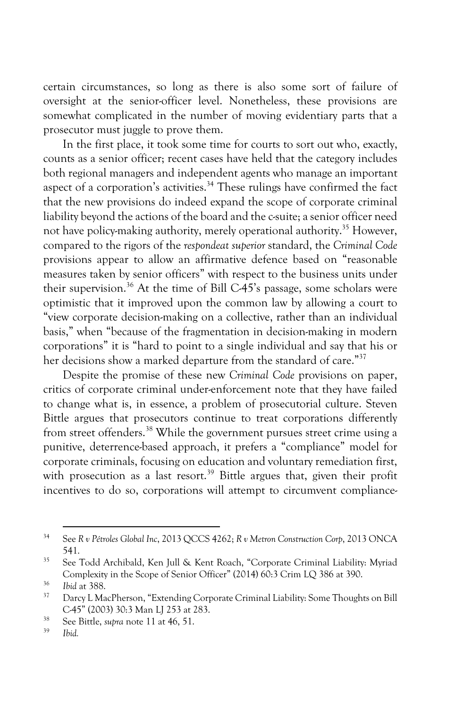certain circumstances, so long as there is also some sort of failure of oversight at the senior-officer level. Nonetheless, these provisions are somewhat complicated in the number of moving evidentiary parts that a prosecutor must juggle to prove them.

In the first place, it took some time for courts to sort out who, exactly, counts as a senior officer; recent cases have held that the category includes both regional managers and independent agents who manage an important aspect of a corporation's activities.<sup>34</sup> These rulings have confirmed the fact that the new provisions do indeed expand the scope of corporate criminal liability beyond the actions of the board and the c-suite; a senior officer need not have policy-making authority, merely operational authority.<sup>35</sup> However, compared to the rigors of the *respondeat superior* standard, the *Criminal Code* provisions appear to allow an affirmative defence based on "reasonable measures taken by senior officers" with respect to the business units under their supervision.<sup>36</sup> At the time of Bill C-45's passage, some scholars were optimistic that it improved upon the common law by allowing a court to "view corporate decision-making on a collective, rather than an individual basis," when "because of the fragmentation in decision-making in modern corporations" it is "hard to point to a single individual and say that his or her decisions show a marked departure from the standard of care."<sup>37</sup>

Despite the promise of these new *Criminal Code* provisions on paper, critics of corporate criminal under-enforcement note that they have failed to change what is, in essence, a problem of prosecutorial culture. Steven Bittle argues that prosecutors continue to treat corporations differently from street offenders.38 While the government pursues street crime using a punitive, deterrence-based approach, it prefers a "compliance" model for corporate criminals, focusing on education and voluntary remediation first, with prosecution as a last resort.<sup>39</sup> Bittle argues that, given their profit incentives to do so, corporations will attempt to circumvent compliance-

<sup>34</sup> See *R v Pétroles Global Inc*, 2013 QCCS 4262; *R v Metron Construction Corp*, 2013 ONCA 541.

<sup>35</sup> See Todd Archibald, Ken Jull & Kent Roach, "Corporate Criminal Liability: Myriad Complexity in the Scope of Senior Officer" (2014) 60:3 Crim LQ 386 at 390.

<sup>36</sup> *Ibid* at 388.

<sup>&</sup>lt;sup>37</sup> Darcy L MacPherson, "Extending Corporate Criminal Liability: Some Thoughts on Bill C-45" (2003) 30:3 Man LJ 253 at 283.

<sup>&</sup>lt;sup>38</sup> See Bittle, *supra* note 11 at 46, 51.

<sup>39</sup> *Ibid.*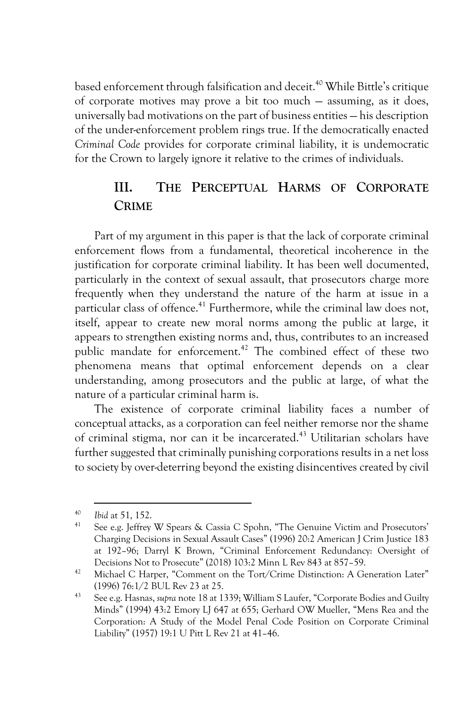based enforcement through falsification and deceit.<sup>40</sup> While Bittle's critique of corporate motives may prove a bit too much — assuming, as it does, universally bad motivations on the part of business entities — his description of the under-enforcement problem rings true. If the democratically enacted *Criminal Code* provides for corporate criminal liability, it is undemocratic for the Crown to largely ignore it relative to the crimes of individuals.

#### **III. THE PERCEPTUAL HARMS OF CORPORATE CRIME**

Part of my argument in this paper is that the lack of corporate criminal enforcement flows from a fundamental, theoretical incoherence in the justification for corporate criminal liability. It has been well documented, particularly in the context of sexual assault, that prosecutors charge more frequently when they understand the nature of the harm at issue in a particular class of offence.<sup>41</sup> Furthermore, while the criminal law does not, itself, appear to create new moral norms among the public at large, it appears to strengthen existing norms and, thus, contributes to an increased public mandate for enforcement.<sup>42</sup> The combined effect of these two phenomena means that optimal enforcement depends on a clear understanding, among prosecutors and the public at large, of what the nature of a particular criminal harm is.

The existence of corporate criminal liability faces a number of conceptual attacks, as a corporation can feel neither remorse nor the shame of criminal stigma, nor can it be incarcerated.43 Utilitarian scholars have further suggested that criminally punishing corporations results in a net loss to society by over-deterring beyond the existing disincentives created by civil

<sup>&</sup>lt;sup>40</sup> *Ibid* at 51, 152.

See e.g. Jeffrey W Spears & Cassia C Spohn, "The Genuine Victim and Prosecutors' Charging Decisions in Sexual Assault Cases" (1996) 20:2 American J Crim Justice 183 at 192–96; Darryl K Brown, "Criminal Enforcement Redundancy: Oversight of Decisions Not to Prosecute" (2018) 103:2 Minn L Rev 843 at 857–59.

<sup>&</sup>lt;sup>42</sup> Michael C Harper, "Comment on the Tort/Crime Distinction: A Generation Later" (1996) 76:1/2 BUL Rev 23 at 25.

<sup>43</sup> See e.g. Hasnas, *supra* note 18 at 1339; William S Laufer, "Corporate Bodies and Guilty Minds" (1994) 43:2 Emory LJ 647 at 655; Gerhard OW Mueller, "Mens Rea and the Corporation: A Study of the Model Penal Code Position on Corporate Criminal Liability" (1957) 19:1 U Pitt L Rev 21 at 41–46.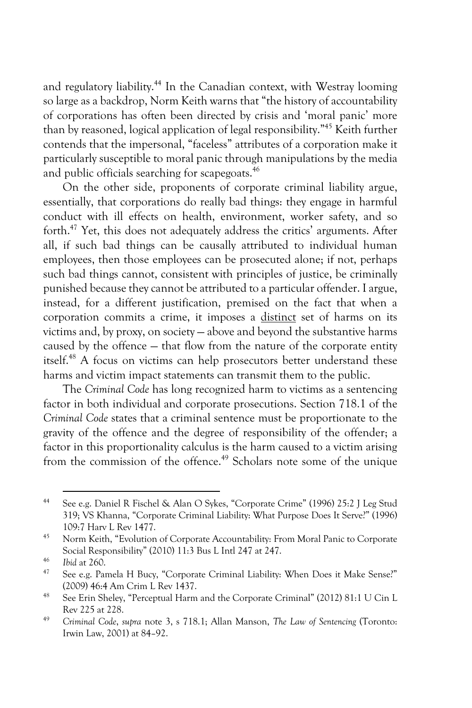and regulatory liability.<sup>44</sup> In the Canadian context, with Westray looming so large as a backdrop, Norm Keith warns that "the history of accountability of corporations has often been directed by crisis and 'moral panic' more than by reasoned, logical application of legal responsibility."45 Keith further contends that the impersonal, "faceless" attributes of a corporation make it particularly susceptible to moral panic through manipulations by the media and public officials searching for scapegoats.<sup>46</sup>

On the other side, proponents of corporate criminal liability argue, essentially, that corporations do really bad things: they engage in harmful conduct with ill effects on health, environment, worker safety, and so forth.47 Yet, this does not adequately address the critics' arguments. After all, if such bad things can be causally attributed to individual human employees, then those employees can be prosecuted alone; if not, perhaps such bad things cannot, consistent with principles of justice, be criminally punished because they cannot be attributed to a particular offender. I argue, instead, for a different justification, premised on the fact that when a corporation commits a crime, it imposes a distinct set of harms on its victims and, by proxy, on society — above and beyond the substantive harms caused by the offence — that flow from the nature of the corporate entity itself.<sup>48</sup> A focus on victims can help prosecutors better understand these harms and victim impact statements can transmit them to the public.

The *Criminal Code* has long recognized harm to victims as a sentencing factor in both individual and corporate prosecutions. Section 718.1 of the *Criminal Code* states that a criminal sentence must be proportionate to the gravity of the offence and the degree of responsibility of the offender; a factor in this proportionality calculus is the harm caused to a victim arising from the commission of the offence.<sup>49</sup> Scholars note some of the unique

<sup>44</sup> See e.g. Daniel R Fischel & Alan O Sykes, "Corporate Crime" (1996) 25:2 J Leg Stud 319; VS Khanna, "Corporate Criminal Liability: What Purpose Does It Serve?" (1996) 109:7 Harv L Rev 1477.

<sup>45</sup> Norm Keith, "Evolution of Corporate Accountability: From Moral Panic to Corporate Social Responsibility" (2010) 11:3 Bus L Intl 247 at 247.

 $^{46}$  *Ibid* at 260.

See e.g. Pamela H Bucy, "Corporate Criminal Liability: When Does it Make Sense?" (2009) 46:4 Am Crim L Rev 1437.

<sup>48</sup> See Erin Sheley, "Perceptual Harm and the Corporate Criminal" (2012) 81:1 U Cin L Rev 225 at 228. 49 *Criminal Code*, *supra* note 3, s 718.1; Allan Manson, *The Law of Sentencing* (Toronto:

Irwin Law, 2001) at 84–92.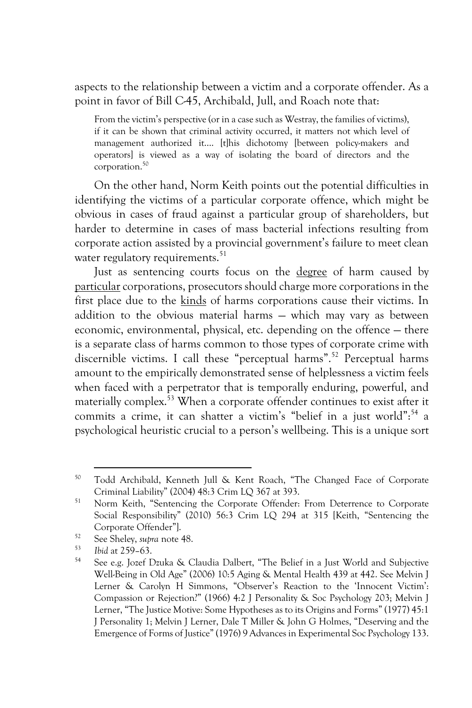aspects to the relationship between a victim and a corporate offender. As a point in favor of Bill C-45, Archibald, Jull, and Roach note that:

From the victim's perspective (or in a case such as Westray, the families of victims), if it can be shown that criminal activity occurred, it matters not which level of management authorized it…. [t]his dichotomy [between policy-makers and operators] is viewed as a way of isolating the board of directors and the corporation.50

On the other hand, Norm Keith points out the potential difficulties in identifying the victims of a particular corporate offence, which might be obvious in cases of fraud against a particular group of shareholders, but harder to determine in cases of mass bacterial infections resulting from corporate action assisted by a provincial government's failure to meet clean water regulatory requirements.<sup>51</sup>

Just as sentencing courts focus on the degree of harm caused by particular corporations, prosecutors should charge more corporations in the first place due to the kinds of harms corporations cause their victims. In addition to the obvious material harms — which may vary as between economic, environmental, physical, etc. depending on the offence — there is a separate class of harms common to those types of corporate crime with discernible victims. I call these "perceptual harms".<sup>52</sup> Perceptual harms amount to the empirically demonstrated sense of helplessness a victim feels when faced with a perpetrator that is temporally enduring, powerful, and materially complex.53 When a corporate offender continues to exist after it commits a crime, it can shatter a victim's "belief in a just world":<sup>54</sup> a psychological heuristic crucial to a person's wellbeing. This is a unique sort

<sup>50</sup> Todd Archibald, Kenneth Jull & Kent Roach, "The Changed Face of Corporate Criminal Liability" (2004) 48:3 Crim LQ 367 at 393.

<sup>&</sup>lt;sup>51</sup> Norm Keith, "Sentencing the Corporate Offender: From Deterrence to Corporate Social Responsibility" (2010) 56:3 Crim LQ 294 at 315 [Keith, "Sentencing the Corporate Offender"].

<sup>52</sup> See Sheley, *supra* note 48.

<sup>53</sup> *Ibid* at 259–63.

<sup>54</sup> See e.g. Jozef Dzuka & Claudia Dalbert, "The Belief in a Just World and Subjective Well-Being in Old Age" (2006) 10:5 Aging & Mental Health 439 at 442. See Melvin J Lerner & Carolyn H Simmons, "Observer's Reaction to the 'Innocent Victim': Compassion or Rejection?" (1966) 4:2 J Personality & Soc Psychology 203; Melvin J Lerner, "The Justice Motive: Some Hypotheses as to its Origins and Forms" (1977) 45:1 J Personality 1; Melvin J Lerner, Dale T Miller & John G Holmes, "Deserving and the Emergence of Forms of Justice" (1976) 9 Advances in Experimental Soc Psychology 133.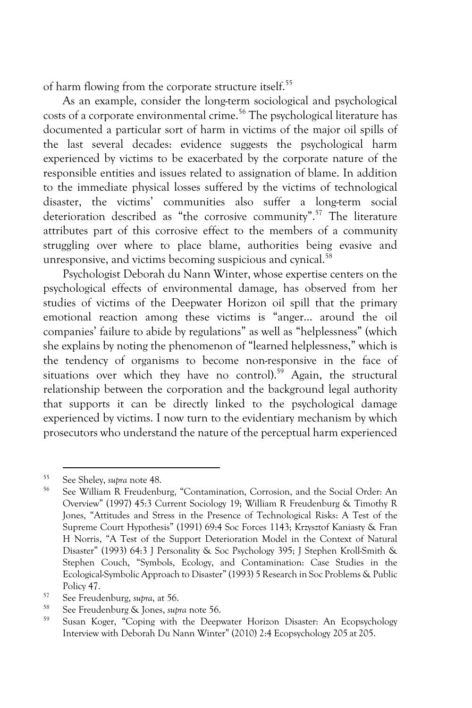of harm flowing from the corporate structure itself.<sup>55</sup>

As an example, consider the long-term sociological and psychological costs of a corporate environmental crime.<sup>56</sup> The psychological literature has documented a particular sort of harm in victims of the major oil spills of the last several decades: evidence suggests the psychological harm experienced by victims to be exacerbated by the corporate nature of the responsible entities and issues related to assignation of blame. In addition to the immediate physical losses suffered by the victims of technological disaster, the victims' communities also suffer a long-term social deterioration described as "the corrosive community".<sup>57</sup> The literature attributes part of this corrosive effect to the members of a community struggling over where to place blame, authorities being evasive and unresponsive, and victims becoming suspicious and cynical.<sup>58</sup>

Psychologist Deborah du Nann Winter, whose expertise centers on the psychological effects of environmental damage, has observed from her studies of victims of the Deepwater Horizon oil spill that the primary emotional reaction among these victims is "anger… around the oil companies' failure to abide by regulations" as well as "helplessness" (which she explains by noting the phenomenon of "learned helplessness," which is the tendency of organisms to become non-responsive in the face of situations over which they have no control).<sup>59</sup> Again, the structural relationship between the corporation and the background legal authority that supports it can be directly linked to the psychological damage experienced by victims. I now turn to the evidentiary mechanism by which prosecutors who understand the nature of the perceptual harm experienced

<sup>55</sup> See Sheley, *supra* note 48.

<sup>56</sup> See William R Freudenburg, "Contamination, Corrosion, and the Social Order: An Overview" (1997) 45:3 Current Sociology 19; William R Freudenburg & Timothy R Jones, "Attitudes and Stress in the Presence of Technological Risks: A Test of the Supreme Court Hypothesis" (1991) 69:4 Soc Forces 1143; Krzysztof Kaniasty & Fran H Norris, "A Test of the Support Deterioration Model in the Context of Natural Disaster" (1993) 64:3 J Personality & Soc Psychology 395; J Stephen Kroll-Smith & Stephen Couch, "Symbols, Ecology, and Contamination: Case Studies in the Ecological-Symbolic Approach to Disaster" (1993) 5 Research in Soc Problems & Public Policy 47.

<sup>57</sup> See Freudenburg, *supra*, at 56.

<sup>58</sup> See Freudenburg & Jones, *supra* note 56.

Susan Koger, "Coping with the Deepwater Horizon Disaster: An Ecopsychology Interview with Deborah Du Nann Winter" (2010) 2:4 Ecopsychology 205 at 205.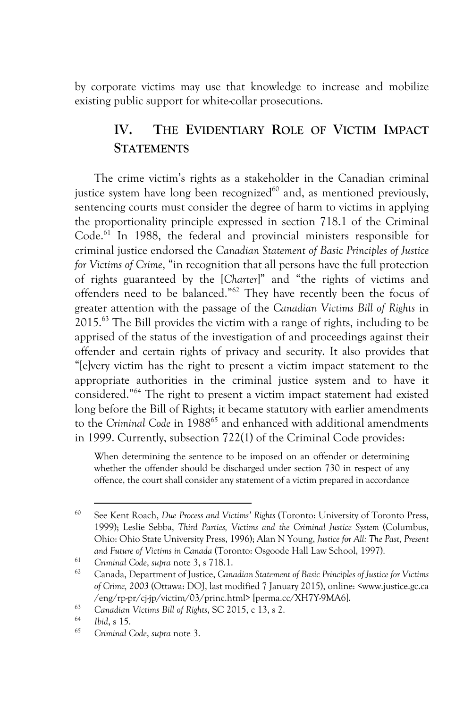by corporate victims may use that knowledge to increase and mobilize existing public support for white-collar prosecutions.

### **IV. THE EVIDENTIARY ROLE OF VICTIM IMPACT STATEMENTS**

The crime victim's rights as a stakeholder in the Canadian criminal justice system have long been recognized $60$  and, as mentioned previously, sentencing courts must consider the degree of harm to victims in applying the proportionality principle expressed in section 718.1 of the Criminal Code.<sup>61</sup> In 1988, the federal and provincial ministers responsible for criminal justice endorsed the *Canadian Statement of Basic Principles of Justice for Victims of Crime*, "in recognition that all persons have the full protection of rights guaranteed by the [*Charter*]" and "the rights of victims and offenders need to be balanced."62 They have recently been the focus of greater attention with the passage of the *Canadian Victims Bill of Rights* in 2015.63 The Bill provides the victim with a range of rights, including to be apprised of the status of the investigation of and proceedings against their offender and certain rights of privacy and security. It also provides that "[e]very victim has the right to present a victim impact statement to the appropriate authorities in the criminal justice system and to have it considered."64 The right to present a victim impact statement had existed long before the Bill of Rights; it became statutory with earlier amendments to the *Criminal Code* in 1988<sup>65</sup> and enhanced with additional amendments in 1999. Currently, subsection 722(1) of the Criminal Code provides:

When determining the sentence to be imposed on an offender or determining whether the offender should be discharged under section 730 in respect of any offence, the court shall consider any statement of a victim prepared in accordance

<sup>60</sup> See Kent Roach, *Due Process and Victims' Rights* (Toronto: University of Toronto Press, 1999); Leslie Sebba, *Third Parties, Victims and the Criminal Justice System* (Columbus, Ohio: Ohio State University Press, 1996); Alan N Young, *Justice for All: The Past, Present and Future of Victims in Canada* (Toronto: Osgoode Hall Law School, 1997).

<sup>61</sup> *Criminal Code*, *supra* note 3, s 718.1.

<sup>62</sup> Canada, Department of Justice, *Canadian Statement of Basic Principles of Justice for Victims of Crime, 2003* (Ottawa: DOJ, last modified 7 January 2015), online: <www.justice.gc.ca /eng/rp-pr/cj-jp/victim/03/princ.html> [perma.cc/XH7Y-9MA6].

<sup>63</sup> *Canadian Victims Bill of Rights*, SC 2015, c 13, s 2.

<sup>64</sup> *Ibid*, s 15.

<sup>65</sup> *Criminal Code*, *supra* note 3.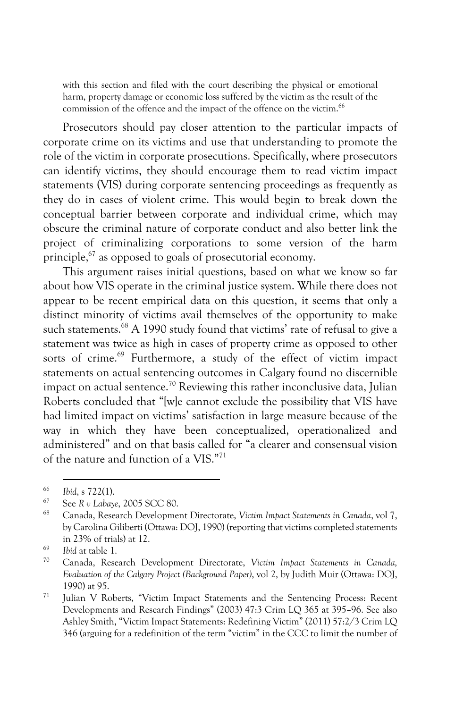with this section and filed with the court describing the physical or emotional harm, property damage or economic loss suffered by the victim as the result of the commission of the offence and the impact of the offence on the victim.<sup>66</sup>

Prosecutors should pay closer attention to the particular impacts of corporate crime on its victims and use that understanding to promote the role of the victim in corporate prosecutions. Specifically, where prosecutors can identify victims, they should encourage them to read victim impact statements (VIS) during corporate sentencing proceedings as frequently as they do in cases of violent crime. This would begin to break down the conceptual barrier between corporate and individual crime, which may obscure the criminal nature of corporate conduct and also better link the project of criminalizing corporations to some version of the harm principle,67 as opposed to goals of prosecutorial economy.

This argument raises initial questions, based on what we know so far about how VIS operate in the criminal justice system. While there does not appear to be recent empirical data on this question, it seems that only a distinct minority of victims avail themselves of the opportunity to make such statements.<sup>68</sup> A 1990 study found that victims' rate of refusal to give a statement was twice as high in cases of property crime as opposed to other sorts of crime.<sup>69</sup> Furthermore, a study of the effect of victim impact statements on actual sentencing outcomes in Calgary found no discernible impact on actual sentence.<sup>70</sup> Reviewing this rather inconclusive data, Julian Roberts concluded that "[w]e cannot exclude the possibility that VIS have had limited impact on victims' satisfaction in large measure because of the way in which they have been conceptualized, operationalized and administered" and on that basis called for "a clearer and consensual vision of the nature and function of a VIS."71

<sup>66</sup> *Ibid*, s 722(1). 67 See *R v Labaye*, 2005 SCC 80.

<sup>68</sup> Canada, Research Development Directorate, *Victim Impact Statements in Canada*, vol 7, by Carolina Giliberti (Ottawa: DOJ, 1990) (reporting that victims completed statements in 23% of trials) at 12.

 $\frac{69}{70}$  *Ibid* at table 1.

<sup>70</sup> Canada, Research Development Directorate, *Victim Impact Statements in Canada, Evaluation of the Calgary Project (Background Paper)*, vol 2, by Judith Muir (Ottawa: DOJ, 1990) at 95.

<sup>71</sup> Julian V Roberts, "Victim Impact Statements and the Sentencing Process: Recent Developments and Research Findings" (2003) 47:3 Crim LQ 365 at 395–96. See also Ashley Smith, "Victim Impact Statements: Redefining Victim" (2011) 57:2/3 Crim LQ 346 (arguing for a redefinition of the term "victim" in the CCC to limit the number of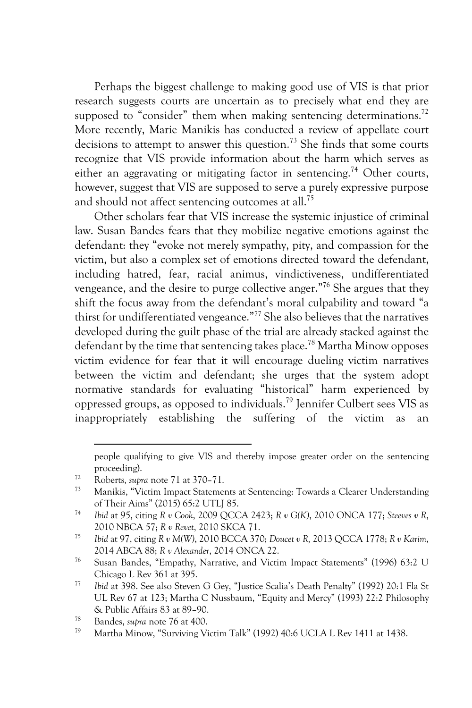Perhaps the biggest challenge to making good use of VIS is that prior research suggests courts are uncertain as to precisely what end they are supposed to "consider" them when making sentencing determinations.<sup>72</sup> More recently, Marie Manikis has conducted a review of appellate court decisions to attempt to answer this question.<sup>73</sup> She finds that some courts recognize that VIS provide information about the harm which serves as either an aggravating or mitigating factor in sentencing.<sup>74</sup> Other courts, however, suggest that VIS are supposed to serve a purely expressive purpose and should not affect sentencing outcomes at all.<sup>75</sup>

Other scholars fear that VIS increase the systemic injustice of criminal law. Susan Bandes fears that they mobilize negative emotions against the defendant: they "evoke not merely sympathy, pity, and compassion for the victim, but also a complex set of emotions directed toward the defendant, including hatred, fear, racial animus, vindictiveness, undifferentiated vengeance, and the desire to purge collective anger."76 She argues that they shift the focus away from the defendant's moral culpability and toward "a thirst for undifferentiated vengeance."77 She also believes that the narratives developed during the guilt phase of the trial are already stacked against the defendant by the time that sentencing takes place.<sup>78</sup> Martha Minow opposes victim evidence for fear that it will encourage dueling victim narratives between the victim and defendant; she urges that the system adopt normative standards for evaluating "historical" harm experienced by oppressed groups, as opposed to individuals.79 Jennifer Culbert sees VIS as inappropriately establishing the suffering of the victim as an

people qualifying to give VIS and thereby impose greater order on the sentencing proceeding).

<sup>72</sup> Roberts*, supra* note 71 at 370–71.

<sup>73</sup> Manikis, "Victim Impact Statements at Sentencing: Towards a Clearer Understanding of Their Aims" (2015) 65:2 UTLJ 85. 74 *Ibid* at 95, citing *R v Cook*, 2009 QCCA 2423; *R v G(K)*, 2010 ONCA 177; *Steeves v R*,

<sup>2010</sup> NBCA 57; *R v Revet*, 2010 SKCA 71.

<sup>75</sup> *Ibid* at 97, citing *R v M(W)*, 2010 BCCA 370; *Doucet v R,* 2013 QCCA 1778; *R v Karim*, 2014 ABCA 88; *R v Alexander*, 2014 ONCA 22.

<sup>76</sup> Susan Bandes, "Empathy, Narrative, and Victim Impact Statements" (1996) 63:2 U Chicago L Rev 361 at 395.

<sup>77</sup> *Ibid* at 398. See also Steven G Gey, "Justice Scalia's Death Penalty" (1992) 20:1 Fla St UL Rev 67 at 123; Martha C Nussbaum, "Equity and Mercy" (1993) 22:2 Philosophy & Public Affairs 83 at 89–90. 78 Bandes, *supra* note 76 at 400.

Martha Minow, "Surviving Victim Talk" (1992) 40:6 UCLA L Rev 1411 at 1438.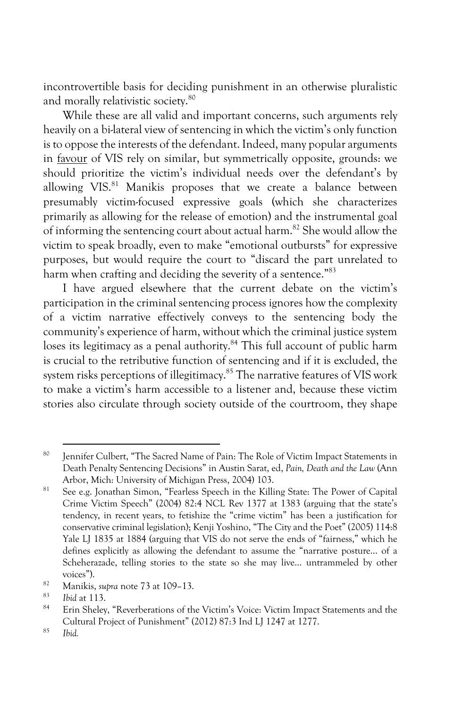incontrovertible basis for deciding punishment in an otherwise pluralistic and morally relativistic society.<sup>80</sup>

While these are all valid and important concerns, such arguments rely heavily on a bi-lateral view of sentencing in which the victim's only function is to oppose the interests of the defendant. Indeed, many popular arguments in favour of VIS rely on similar, but symmetrically opposite, grounds: we should prioritize the victim's individual needs over the defendant's by allowing VIS.<sup>81</sup> Manikis proposes that we create a balance between presumably victim-focused expressive goals (which she characterizes primarily as allowing for the release of emotion) and the instrumental goal of informing the sentencing court about actual harm.82 She would allow the victim to speak broadly, even to make "emotional outbursts" for expressive purposes, but would require the court to "discard the part unrelated to harm when crafting and deciding the severity of a sentence."<sup>83</sup>

I have argued elsewhere that the current debate on the victim's participation in the criminal sentencing process ignores how the complexity of a victim narrative effectively conveys to the sentencing body the community's experience of harm, without which the criminal justice system loses its legitimacy as a penal authority.<sup>84</sup> This full account of public harm is crucial to the retributive function of sentencing and if it is excluded, the system risks perceptions of illegitimacy.<sup>85</sup> The narrative features of VIS work to make a victim's harm accessible to a listener and, because these victim stories also circulate through society outside of the courtroom, they shape

<sup>80</sup> Jennifer Culbert, "The Sacred Name of Pain: The Role of Victim Impact Statements in Death Penalty Sentencing Decisions" in Austin Sarat, ed, *Pain, Death and the Law* (Ann Arbor, Mich: University of Michigan Press, 2004) 103.

<sup>&</sup>lt;sup>81</sup> See e.g. Jonathan Simon, "Fearless Speech in the Killing State: The Power of Capital Crime Victim Speech" (2004) 82:4 NCL Rev 1377 at 1383 (arguing that the state's tendency, in recent years, to fetishize the "crime victim" has been a justification for conservative criminal legislation); Kenji Yoshino, "The City and the Poet" (2005) 114:8 Yale LJ 1835 at 1884 (arguing that VIS do not serve the ends of "fairness," which he defines explicitly as allowing the defendant to assume the "narrative posture… of a Scheherazade, telling stories to the state so she may live… untrammeled by other

voices"). 82 Manikis, *supra* note 73 at 109–13.

<sup>83</sup> *Ibid* at 113.

Erin Sheley, "Reverberations of the Victim's Voice: Victim Impact Statements and the Cultural Project of Punishment" (2012) 87:3 Ind LJ 1247 at 1277. 85 *Ibid.*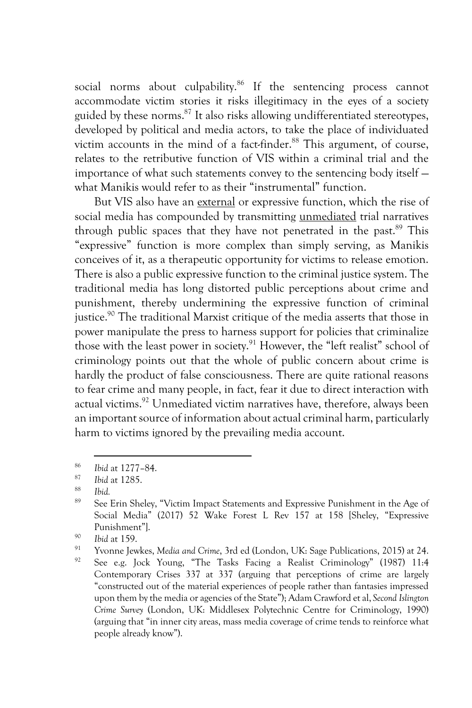social norms about culpability.<sup>86</sup> If the sentencing process cannot accommodate victim stories it risks illegitimacy in the eyes of a society guided by these norms.<sup>87</sup> It also risks allowing undifferentiated stereotypes, developed by political and media actors, to take the place of individuated victim accounts in the mind of a fact-finder.<sup>88</sup> This argument, of course, relates to the retributive function of VIS within a criminal trial and the importance of what such statements convey to the sentencing body itself what Manikis would refer to as their "instrumental" function.

But VIS also have an external or expressive function, which the rise of social media has compounded by transmitting unmediated trial narratives through public spaces that they have not penetrated in the past.<sup>89</sup> This "expressive" function is more complex than simply serving, as Manikis conceives of it, as a therapeutic opportunity for victims to release emotion. There is also a public expressive function to the criminal justice system. The traditional media has long distorted public perceptions about crime and punishment, thereby undermining the expressive function of criminal justice.<sup>90</sup> The traditional Marxist critique of the media asserts that those in power manipulate the press to harness support for policies that criminalize those with the least power in society.91 However, the "left realist" school of criminology points out that the whole of public concern about crime is hardly the product of false consciousness. There are quite rational reasons to fear crime and many people, in fact, fear it due to direct interaction with actual victims.<sup>92</sup> Unmediated victim narratives have, therefore, always been an important source of information about actual criminal harm, particularly harm to victims ignored by the prevailing media account.

<sup>86</sup> *Ibid* at 1277–84.

<sup>87</sup> *Ibid* at 1285.

<sup>88</sup> *Ibid.*

See Erin Sheley, "Victim Impact Statements and Expressive Punishment in the Age of Social Media" (2017) 52 Wake Forest L Rev 157 at 158 [Sheley, "Expressive Punishment"].

<sup>90</sup> *Ibid* at 159.

<sup>91</sup> Yvonne Jewkes, *Media and Crime*, 3rd ed (London, UK: Sage Publications, 2015) at 24.

See e.g. Jock Young, "The Tasks Facing a Realist Criminology" (1987) 11:4 Contemporary Crises 337 at 337 (arguing that perceptions of crime are largely "constructed out of the material experiences of people rather than fantasies impressed upon them by the media or agencies of the State"); Adam Crawford et al, *Second Islington Crime Survey* (London, UK: Middlesex Polytechnic Centre for Criminology, 1990) (arguing that "in inner city areas, mass media coverage of crime tends to reinforce what people already know").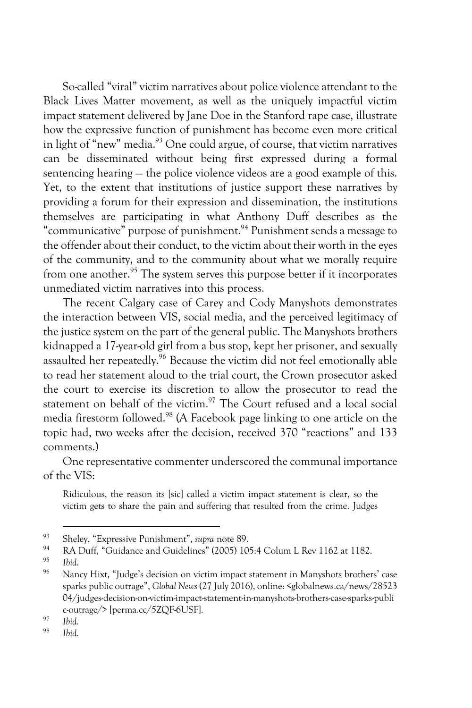So-called "viral" victim narratives about police violence attendant to the Black Lives Matter movement, as well as the uniquely impactful victim impact statement delivered by Jane Doe in the Stanford rape case, illustrate how the expressive function of punishment has become even more critical in light of "new" media.<sup>93</sup> One could argue, of course, that victim narratives can be disseminated without being first expressed during a formal sentencing hearing — the police violence videos are a good example of this. Yet, to the extent that institutions of justice support these narratives by providing a forum for their expression and dissemination, the institutions themselves are participating in what Anthony Duff describes as the "communicative" purpose of punishment.94 Punishment sends a message to the offender about their conduct, to the victim about their worth in the eyes of the community, and to the community about what we morally require from one another.<sup>95</sup> The system serves this purpose better if it incorporates unmediated victim narratives into this process.

The recent Calgary case of Carey and Cody Manyshots demonstrates the interaction between VIS, social media, and the perceived legitimacy of the justice system on the part of the general public. The Manyshots brothers kidnapped a 17-year-old girl from a bus stop, kept her prisoner, and sexually assaulted her repeatedly.<sup>96</sup> Because the victim did not feel emotionally able to read her statement aloud to the trial court, the Crown prosecutor asked the court to exercise its discretion to allow the prosecutor to read the statement on behalf of the victim. $97$  The Court refused and a local social media firestorm followed.98 (A Facebook page linking to one article on the topic had, two weeks after the decision, received 370 "reactions" and 133 comments.)

One representative commenter underscored the communal importance of the VIS:

Ridiculous, the reason its [sic] called a victim impact statement is clear, so the victim gets to share the pain and suffering that resulted from the crime. Judges

<sup>93</sup> Sheley, "Expressive Punishment", *supra* note 89.

<sup>&</sup>lt;sup>94</sup> RA Duff, "Guidance and Guidelines" (2005) 105:4 Colum L Rev 1162 at 1182.

 $\frac{95}{96}$  *Ibid.* 

Nancy Hixt, "Judge's decision on victim impact statement in Manyshots brothers' case sparks public outrage", *Global News* (27 July 2016), online: <globalnews.ca/news/28523 04/judges-decision-on-victim-impact-statement-in-manyshots-brothers-case-sparks-publi c-outrage/> [perma.cc/5ZQF-6USF]. 97 *Ibid.*

<sup>98</sup> *Ibid.*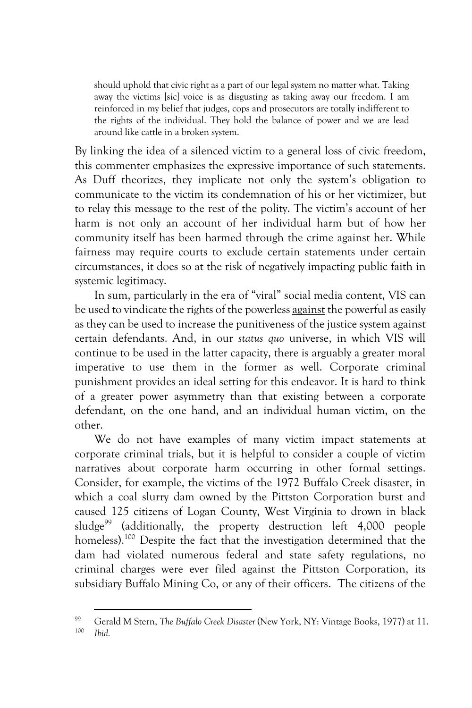should uphold that civic right as a part of our legal system no matter what. Taking away the victims [sic] voice is as disgusting as taking away our freedom. I am reinforced in my belief that judges, cops and prosecutors are totally indifferent to the rights of the individual. They hold the balance of power and we are lead around like cattle in a broken system.

By linking the idea of a silenced victim to a general loss of civic freedom, this commenter emphasizes the expressive importance of such statements. As Duff theorizes, they implicate not only the system's obligation to communicate to the victim its condemnation of his or her victimizer, but to relay this message to the rest of the polity. The victim's account of her harm is not only an account of her individual harm but of how her community itself has been harmed through the crime against her. While fairness may require courts to exclude certain statements under certain circumstances, it does so at the risk of negatively impacting public faith in systemic legitimacy.

In sum, particularly in the era of "viral" social media content, VIS can be used to vindicate the rights of the powerless against the powerful as easily as they can be used to increase the punitiveness of the justice system against certain defendants. And, in our *status quo* universe, in which VIS will continue to be used in the latter capacity, there is arguably a greater moral imperative to use them in the former as well. Corporate criminal punishment provides an ideal setting for this endeavor. It is hard to think of a greater power asymmetry than that existing between a corporate defendant, on the one hand, and an individual human victim, on the other.

We do not have examples of many victim impact statements at corporate criminal trials, but it is helpful to consider a couple of victim narratives about corporate harm occurring in other formal settings. Consider, for example, the victims of the 1972 Buffalo Creek disaster, in which a coal slurry dam owned by the Pittston Corporation burst and caused 125 citizens of Logan County, West Virginia to drown in black sludge<sup>99</sup> (additionally, the property destruction left 4,000 people homeless).<sup>100</sup> Despite the fact that the investigation determined that the dam had violated numerous federal and state safety regulations, no criminal charges were ever filed against the Pittston Corporation, its subsidiary Buffalo Mining Co, or any of their officers. The citizens of the

<sup>&</sup>lt;sup>99</sup> Gerald M Stern, *The Buffalo Creek Disaster* (New York, NY: Vintage Books, 1977) at 11.<br><sup>100</sup> IL:*1 Ibid.*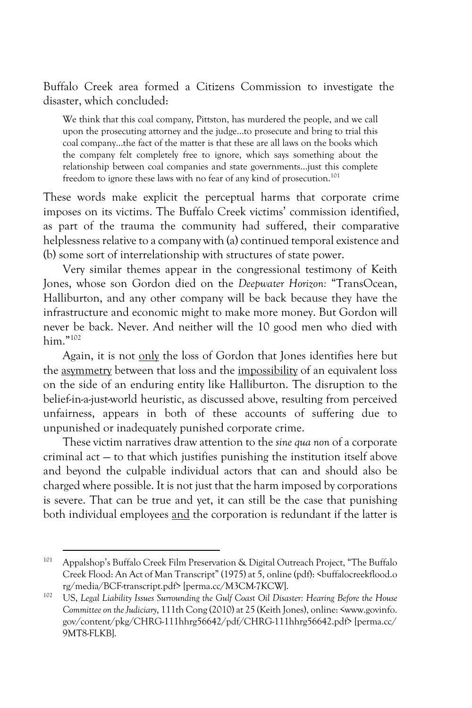Buffalo Creek area formed a Citizens Commission to investigate the disaster, which concluded:

We think that this coal company, Pittston, has murdered the people, and we call upon the prosecuting attorney and the judge…to prosecute and bring to trial this coal company…the fact of the matter is that these are all laws on the books which the company felt completely free to ignore, which says something about the relationship between coal companies and state governments…just this complete freedom to ignore these laws with no fear of any kind of prosecution.<sup>101</sup>

These words make explicit the perceptual harms that corporate crime imposes on its victims. The Buffalo Creek victims' commission identified, as part of the trauma the community had suffered, their comparative helplessness relative to a company with (a) continued temporal existence and (b) some sort of interrelationship with structures of state power.

Very similar themes appear in the congressional testimony of Keith Jones, whose son Gordon died on the *Deepwater Horizon:* "TransOcean, Halliburton, and any other company will be back because they have the infrastructure and economic might to make more money. But Gordon will never be back. Never. And neither will the 10 good men who died with him."102

Again, it is not only the loss of Gordon that Jones identifies here but the asymmetry between that loss and the impossibility of an equivalent loss on the side of an enduring entity like Halliburton. The disruption to the belief-in-a-just-world heuristic, as discussed above, resulting from perceived unfairness, appears in both of these accounts of suffering due to unpunished or inadequately punished corporate crime.

These victim narratives draw attention to the *sine qua non* of a corporate criminal act — to that which justifies punishing the institution itself above and beyond the culpable individual actors that can and should also be charged where possible. It is not just that the harm imposed by corporations is severe. That can be true and yet, it can still be the case that punishing both individual employees and the corporation is redundant if the latter is

<sup>101</sup> Appalshop's Buffalo Creek Film Preservation & Digital Outreach Project, "The Buffalo Creek Flood: An Act of Man Transcript" (1975) at 5, online (pdf): <br/> <br/>Stuffalocreekflood.o rg/media/BCF-transcript.pdf> [perma.cc/M3CM-7KCW].

<sup>102</sup> US, *Legal Liability Issues Surrounding the Gulf Coast Oil Disaster: Hearing Before the House Committee on the Judiciary*, 111th Cong (2010) at 25 (Keith Jones), online: <www.govinfo. gov/content/pkg/CHRG-111hhrg56642/pdf/CHRG-111hhrg56642.pdf> [perma.cc/ 9MT8-FLKB].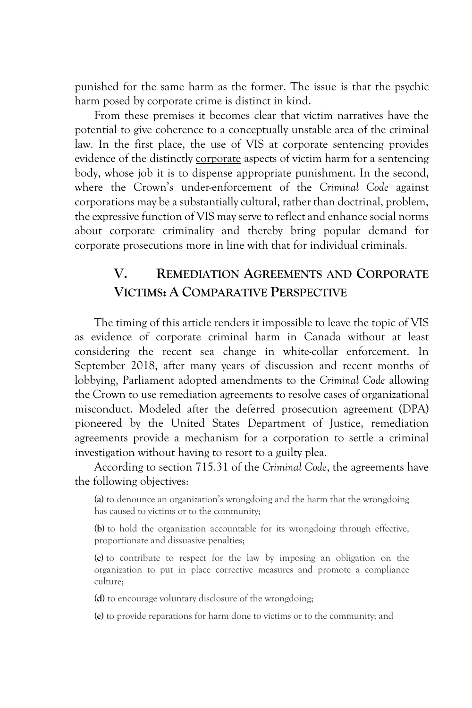punished for the same harm as the former. The issue is that the psychic harm posed by corporate crime is distinct in kind.

From these premises it becomes clear that victim narratives have the potential to give coherence to a conceptually unstable area of the criminal law. In the first place, the use of VIS at corporate sentencing provides evidence of the distinctly corporate aspects of victim harm for a sentencing body, whose job it is to dispense appropriate punishment. In the second, where the Crown's under-enforcement of the *Criminal Code* against corporations may be a substantially cultural, rather than doctrinal, problem, the expressive function of VIS may serve to reflect and enhance social norms about corporate criminality and thereby bring popular demand for corporate prosecutions more in line with that for individual criminals.

## **V. REMEDIATION AGREEMENTS AND CORPORATE VICTIMS: A COMPARATIVE PERSPECTIVE**

The timing of this article renders it impossible to leave the topic of VIS as evidence of corporate criminal harm in Canada without at least considering the recent sea change in white-collar enforcement. In September 2018, after many years of discussion and recent months of lobbying, Parliament adopted amendments to the *Criminal Code* allowing the Crown to use remediation agreements to resolve cases of organizational misconduct. Modeled after the deferred prosecution agreement (DPA) pioneered by the United States Department of Justice, remediation agreements provide a mechanism for a corporation to settle a criminal investigation without having to resort to a guilty plea.

According to section 715.31 of the *Criminal Code*, the agreements have the following objectives:

**(a)** to denounce an organization's wrongdoing and the harm that the wrongdoing has caused to victims or to the community;

**(b)** to hold the organization accountable for its wrongdoing through effective, proportionate and dissuasive penalties;

**(c)** to contribute to respect for the law by imposing an obligation on the organization to put in place corrective measures and promote a compliance culture;

**(d)** to encourage voluntary disclosure of the wrongdoing;

**(e)** to provide reparations for harm done to victims or to the community; and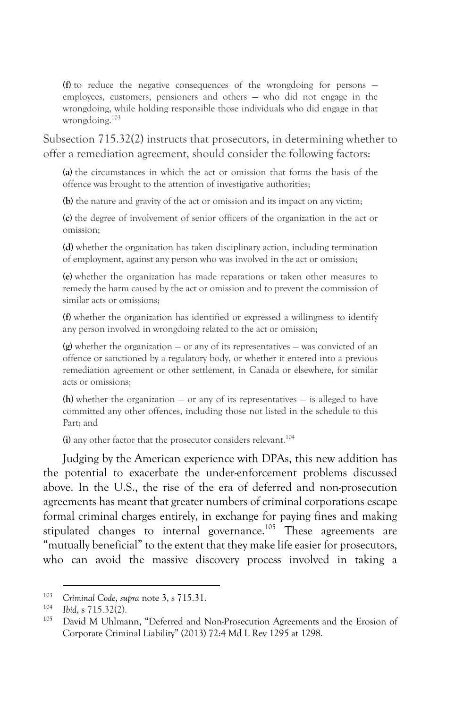**(f)** to reduce the negative consequences of the wrongdoing for persons employees, customers, pensioners and others — who did not engage in the wrongdoing, while holding responsible those individuals who did engage in that wrongdoing.<sup>103</sup>

Subsection 715.32(2) instructs that prosecutors, in determining whether to offer a remediation agreement, should consider the following factors:

**(a)** the circumstances in which the act or omission that forms the basis of the offence was brought to the attention of investigative authorities;

**(b)** the nature and gravity of the act or omission and its impact on any victim;

**(c)** the degree of involvement of senior officers of the organization in the act or omission;

**(d)** whether the organization has taken disciplinary action, including termination of employment, against any person who was involved in the act or omission;

**(e)** whether the organization has made reparations or taken other measures to remedy the harm caused by the act or omission and to prevent the commission of similar acts or omissions;

**(f)** whether the organization has identified or expressed a willingness to identify any person involved in wrongdoing related to the act or omission;

**(g)** whether the organization — or any of its representatives — was convicted of an offence or sanctioned by a regulatory body, or whether it entered into a previous remediation agreement or other settlement, in Canada or elsewhere, for similar acts or omissions;

**(h)** whether the organization — or any of its representatives — is alleged to have committed any other offences, including those not listed in the schedule to this Part; and

**(i)** any other factor that the prosecutor considers relevant.<sup>104</sup>

Judging by the American experience with DPAs, this new addition has the potential to exacerbate the under-enforcement problems discussed above. In the U.S., the rise of the era of deferred and non-prosecution agreements has meant that greater numbers of criminal corporations escape formal criminal charges entirely, in exchange for paying fines and making stipulated changes to internal governance.<sup>105</sup> These agreements are "mutually beneficial" to the extent that they make life easier for prosecutors, who can avoid the massive discovery process involved in taking a

<sup>103</sup> *Criminal Code*, *supra* note 3, s 715.31.

<sup>104</sup> *Ibid*, s 715.32(2).

David M Uhlmann, "Deferred and Non-Prosecution Agreements and the Erosion of Corporate Criminal Liability" (2013) 72:4 Md L Rev 1295 at 1298.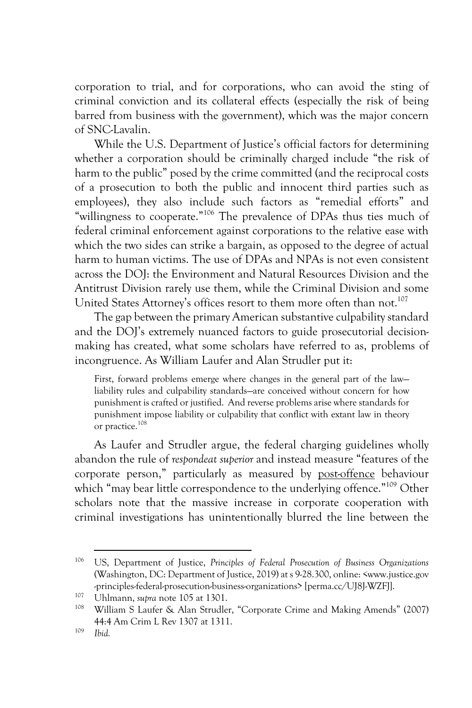corporation to trial, and for corporations, who can avoid the sting of criminal conviction and its collateral effects (especially the risk of being barred from business with the government), which was the major concern of SNC-Lavalin.

While the U.S. Department of Justice's official factors for determining whether a corporation should be criminally charged include "the risk of harm to the public" posed by the crime committed (and the reciprocal costs of a prosecution to both the public and innocent third parties such as employees), they also include such factors as "remedial efforts" and "willingness to cooperate."106 The prevalence of DPAs thus ties much of federal criminal enforcement against corporations to the relative ease with which the two sides can strike a bargain, as opposed to the degree of actual harm to human victims. The use of DPAs and NPAs is not even consistent across the DOJ: the Environment and Natural Resources Division and the Antitrust Division rarely use them, while the Criminal Division and some United States Attorney's offices resort to them more often than not.<sup>107</sup>

The gap between the primary American substantive culpability standard and the DOJ's extremely nuanced factors to guide prosecutorial decisionmaking has created, what some scholars have referred to as, problems of incongruence. As William Laufer and Alan Strudler put it:

First, forward problems emerge where changes in the general part of the law liability rules and culpability standards—are conceived without concern for how punishment is crafted or justified. And reverse problems arise where standards for punishment impose liability or culpability that conflict with extant law in theory or practice.108

As Laufer and Strudler argue, the federal charging guidelines wholly abandon the rule of *respondeat superior* and instead measure "features of the corporate person," particularly as measured by post-offence behaviour which "may bear little correspondence to the underlying offence."<sup>109</sup> Other scholars note that the massive increase in corporate cooperation with criminal investigations has unintentionally blurred the line between the

<sup>106</sup> US, Department of Justice, *Principles of Federal Prosecution of Business Organizations* (Washington, DC: Department of Justice, 2019) at s 9-28.300, online: <www.justice.gov -principles-federal-prosecution-business-organizations> [perma.cc/UJ8J-WZFJ].

<sup>107</sup> Uhlmann, *supra* note 105 at 1301.

William S Laufer & Alan Strudler, "Corporate Crime and Making Amends" (2007) 44:4 Am Crim L Rev 1307 at 1311.

<sup>109</sup> *Ibid.*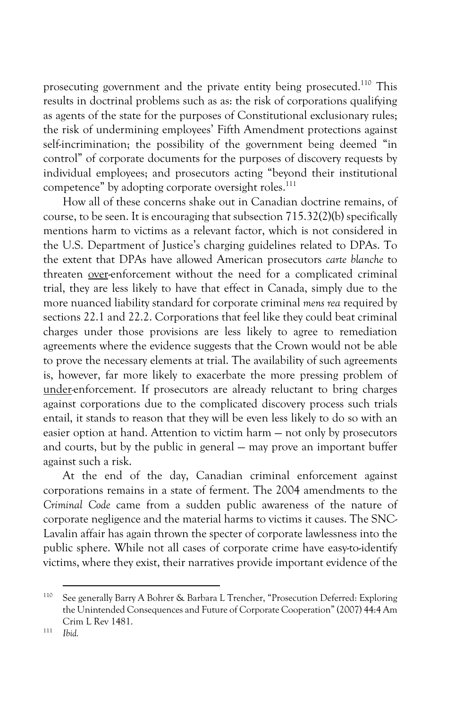prosecuting government and the private entity being prosecuted.110 This results in doctrinal problems such as as: the risk of corporations qualifying as agents of the state for the purposes of Constitutional exclusionary rules; the risk of undermining employees' Fifth Amendment protections against self-incrimination; the possibility of the government being deemed "in control" of corporate documents for the purposes of discovery requests by individual employees; and prosecutors acting "beyond their institutional competence" by adopting corporate oversight roles.<sup>111</sup>

How all of these concerns shake out in Canadian doctrine remains, of course, to be seen. It is encouraging that subsection 715.32(2)(b) specifically mentions harm to victims as a relevant factor, which is not considered in the U.S. Department of Justice's charging guidelines related to DPAs. To the extent that DPAs have allowed American prosecutors *carte blanche* to threaten over-enforcement without the need for a complicated criminal trial, they are less likely to have that effect in Canada, simply due to the more nuanced liability standard for corporate criminal *mens rea* required by sections 22.1 and 22.2. Corporations that feel like they could beat criminal charges under those provisions are less likely to agree to remediation agreements where the evidence suggests that the Crown would not be able to prove the necessary elements at trial. The availability of such agreements is, however, far more likely to exacerbate the more pressing problem of under*-*enforcement. If prosecutors are already reluctant to bring charges against corporations due to the complicated discovery process such trials entail, it stands to reason that they will be even less likely to do so with an easier option at hand. Attention to victim harm — not only by prosecutors and courts, but by the public in general — may prove an important buffer against such a risk.

At the end of the day, Canadian criminal enforcement against corporations remains in a state of ferment. The 2004 amendments to the *Criminal Code* came from a sudden public awareness of the nature of corporate negligence and the material harms to victims it causes. The SNC-Lavalin affair has again thrown the specter of corporate lawlessness into the public sphere. While not all cases of corporate crime have easy-to-identify victims, where they exist, their narratives provide important evidence of the

<sup>110</sup> See generally Barry A Bohrer & Barbara L Trencher, "Prosecution Deferred: Exploring the Unintended Consequences and Future of Corporate Cooperation" (2007) 44:4 Am Crim L Rev 1481.

<sup>111</sup> *Ibid.*